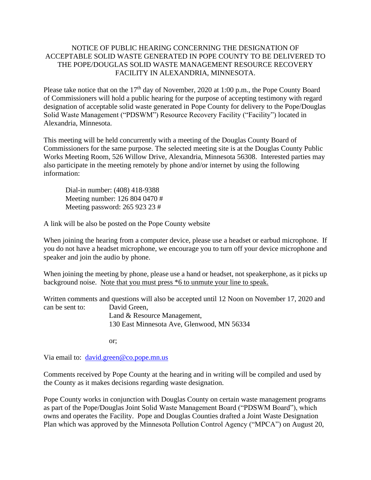## NOTICE OF PUBLIC HEARING CONCERNING THE DESIGNATION OF ACCEPTABLE SOLID WASTE GENERATED IN POPE COUNTY TO BE DELIVERED TO THE POPE/DOUGLAS SOLID WASTE MANAGEMENT RESOURCE RECOVERY FACILITY IN ALEXANDRIA, MINNESOTA.

Please take notice that on the  $17<sup>th</sup>$  day of November, 2020 at 1:00 p.m., the Pope County Board of Commissioners will hold a public hearing for the purpose of accepting testimony with regard designation of acceptable solid waste generated in Pope County for delivery to the Pope/Douglas Solid Waste Management ("PDSWM") Resource Recovery Facility ("Facility") located in Alexandria, Minnesota.

This meeting will be held concurrently with a meeting of the Douglas County Board of Commissioners for the same purpose. The selected meeting site is at the Douglas County Public Works Meeting Room, 526 Willow Drive, Alexandria, Minnesota 56308. Interested parties may also participate in the meeting remotely by phone and/or internet by using the following information:

Dial-in number: (408) 418-9388 Meeting number: 126 804 0470 # Meeting password: 265 923 23 #

A link will be also be posted on the Pope County website

When joining the hearing from a computer device, please use a headset or earbud microphone. If you do not have a headset microphone, we encourage you to turn off your device microphone and speaker and join the audio by phone.

When joining the meeting by phone, please use a hand or headset, not speakerphone, as it picks up background noise. Note that you must press \*6 to unmute your line to speak.

Written comments and questions will also be accepted until 12 Noon on November 17, 2020 and can be sent to: David Green,

> Land & Resource Management, 130 East Minnesota Ave, Glenwood, MN 56334

or;

Via email to: [david.green@co.pope.mn.us](mailto:david.green@co.pope.mn.us)

Comments received by Pope County at the hearing and in writing will be compiled and used by the County as it makes decisions regarding waste designation.

Pope County works in conjunction with Douglas County on certain waste management programs as part of the Pope/Douglas Joint Solid Waste Management Board ("PDSWM Board"), which owns and operates the Facility. Pope and Douglas Counties drafted a Joint Waste Designation Plan which was approved by the Minnesota Pollution Control Agency ("MPCA") on August 20,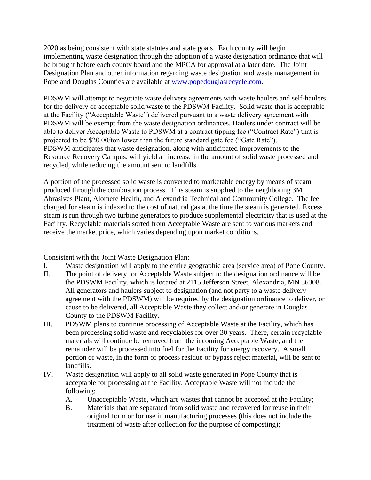2020 as being consistent with state statutes and state goals. Each county will begin implementing waste designation through the adoption of a waste designation ordinance that will be brought before each county board and the MPCA for approval at a later date. The Joint Designation Plan and other information regarding waste designation and waste management in Pope and Douglas Counties are available at [www.popedouglasrecycle.com.](http://www.popedouglasrecycle.com/)

PDSWM will attempt to negotiate waste delivery agreements with waste haulers and self-haulers for the delivery of acceptable solid waste to the PDSWM Facility. Solid waste that is acceptable at the Facility ("Acceptable Waste") delivered pursuant to a waste delivery agreement with PDSWM will be exempt from the waste designation ordinances. Haulers under contract will be able to deliver Acceptable Waste to PDSWM at a contract tipping fee ("Contract Rate") that is projected to be \$20.00/ton lower than the future standard gate fee ("Gate Rate"). PDSWM anticipates that waste designation, along with anticipated improvements to the Resource Recovery Campus, will yield an increase in the amount of solid waste processed and recycled, while reducing the amount sent to landfills.

A portion of the processed solid waste is converted to marketable energy by means of steam produced through the combustion process. This steam is supplied to the neighboring 3M Abrasives Plant, Alomere Health, and Alexandria Technical and Community College. The fee charged for steam is indexed to the cost of natural gas at the time the steam is generated. Excess steam is run through two turbine generators to produce supplemental electricity that is used at the Facility. Recyclable materials sorted from Acceptable Waste are sent to various markets and receive the market price, which varies depending upon market conditions.

Consistent with the Joint Waste Designation Plan:

- I. Waste designation will apply to the entire geographic area (service area) of Pope County.
- II. The point of delivery for Acceptable Waste subject to the designation ordinance will be the PDSWM Facility, which is located at 2115 Jefferson Street, Alexandria, MN 56308. All generators and haulers subject to designation (and not party to a waste delivery agreement with the PDSWM) will be required by the designation ordinance to deliver, or cause to be delivered, all Acceptable Waste they collect and/or generate in Douglas County to the PDSWM Facility.
- III. PDSWM plans to continue processing of Acceptable Waste at the Facility, which has been processing solid waste and recyclables for over 30 years. There, certain recyclable materials will continue be removed from the incoming Acceptable Waste, and the remainder will be processed into fuel for the Facility for energy recovery. A small portion of waste, in the form of process residue or bypass reject material, will be sent to landfills.
- IV. Waste designation will apply to all solid waste generated in Pope County that is acceptable for processing at the Facility. Acceptable Waste will not include the following:
	- A. Unacceptable Waste, which are wastes that cannot be accepted at the Facility;
	- B. Materials that are separated from solid waste and recovered for reuse in their original form or for use in manufacturing processes (this does not include the treatment of waste after collection for the purpose of composting);